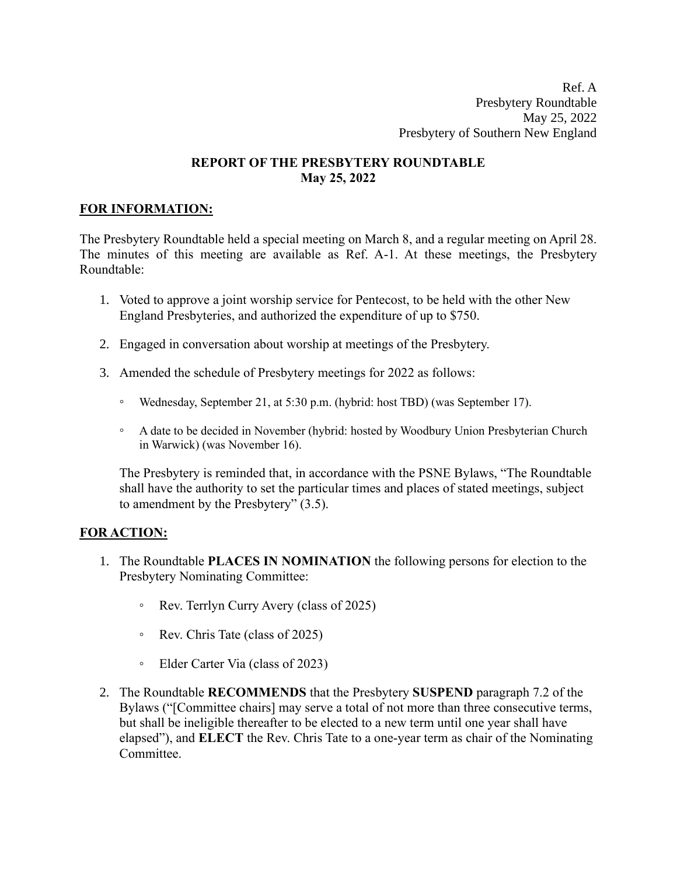Ref. A Presbytery Roundtable May 25, 2022 Presbytery of Southern New England

## **REPORT OF THE PRESBYTERY ROUNDTABLE May 25, 2022**

## **FOR INFORMATION:**

The Presbytery Roundtable held a special meeting on March 8, and a regular meeting on April 28. The minutes of this meeting are available as Ref. A-1. At these meetings, the Presbytery Roundtable:

- 1. Voted to approve a joint worship service for Pentecost, to be held with the other New England Presbyteries, and authorized the expenditure of up to \$750.
- 2. Engaged in conversation about worship at meetings of the Presbytery.
- 3. Amended the schedule of Presbytery meetings for 2022 as follows:
	- Wednesday, September 21, at 5:30 p.m. (hybrid: host TBD) (was September 17).
	- A date to be decided in November (hybrid: hosted by Woodbury Union Presbyterian Church in Warwick) (was November 16).

The Presbytery is reminded that, in accordance with the PSNE Bylaws, "The Roundtable shall have the authority to set the particular times and places of stated meetings, subject to amendment by the Presbytery" (3.5).

## **FOR ACTION:**

- 1. The Roundtable **PLACES IN NOMINATION** the following persons for election to the Presbytery Nominating Committee:
	- Rev. Terrlyn Curry Avery (class of 2025)
	- Rev. Chris Tate (class of 2025)
	- Elder Carter Via (class of 2023)
- 2. The Roundtable **RECOMMENDS** that the Presbytery **SUSPEND** paragraph 7.2 of the Bylaws ("[Committee chairs] may serve a total of not more than three consecutive terms, but shall be ineligible thereafter to be elected to a new term until one year shall have elapsed"), and **ELECT** the Rev. Chris Tate to a one-year term as chair of the Nominating Committee.